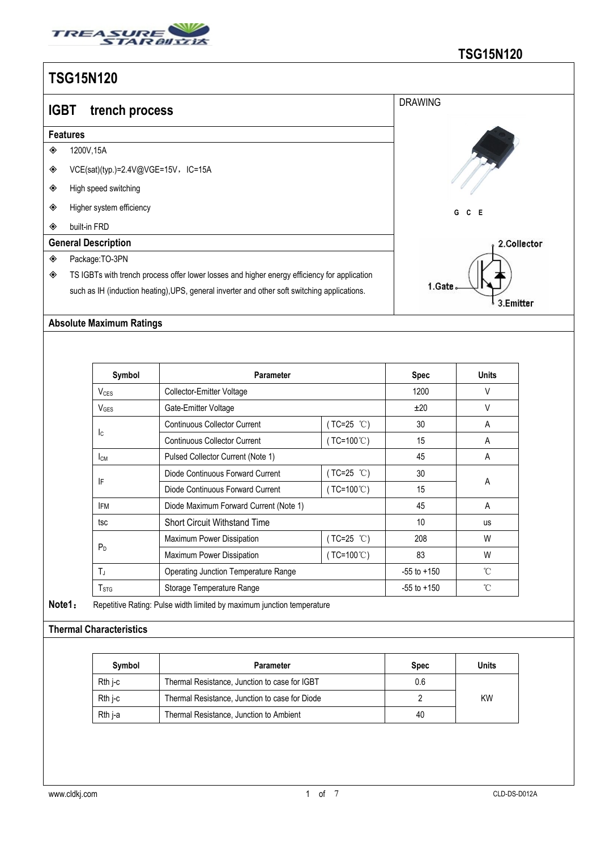

| <b>DRAWING</b><br><b>IGBT</b><br>trench process<br><b>Features</b><br>1200V, 15A<br>◈<br>◈<br>VCE(sat)(typ.)=2.4V@VGE=15V,IC=15A<br>◈ | <u> טשו טען טט</u>   |  |
|---------------------------------------------------------------------------------------------------------------------------------------|----------------------|--|
|                                                                                                                                       |                      |  |
|                                                                                                                                       |                      |  |
|                                                                                                                                       |                      |  |
|                                                                                                                                       |                      |  |
|                                                                                                                                       | High speed switching |  |
| ◈<br>Higher system efficiency<br>C E<br>G                                                                                             |                      |  |
| ◈<br>built-in FRD                                                                                                                     |                      |  |
| <b>General Description</b><br>2.Collector                                                                                             |                      |  |
| ◈<br>Package:TO-3PN                                                                                                                   |                      |  |
| ◈<br>TS IGBTs with trench process offer lower losses and higher energy efficiency for application                                     |                      |  |
| 1.Gate.<br>such as IH (induction heating), UPS, general inverter and other soft switching applications.<br>3.Emitter                  |                      |  |

### **Absolute Maximum Ratings**

| Symbol                 | <b>Parameter</b>                            |                     | <b>Spec</b>     | <b>Units</b> |  |
|------------------------|---------------------------------------------|---------------------|-----------------|--------------|--|
| V <sub>CES</sub>       | Collector-Emitter Voltage                   |                     | 1200            | V            |  |
| $V_{\text{GES}}$       | Gate-Emitter Voltage                        |                     | ±20             | $\vee$       |  |
|                        | <b>Continuous Collector Current</b>         | $(TC=25 °C)$        | 30              | A            |  |
| Ic.                    | <b>Continuous Collector Current</b>         | $(TC=100^{\circ}C)$ | 15              | A            |  |
| <b>I</b> <sub>CM</sub> | Pulsed Collector Current (Note 1)           |                     | 45              | A            |  |
|                        | Diode Continuous Forward Current            | $(TC=25 °C)$        | 30              |              |  |
| IF                     | Diode Continuous Forward Current            | $(TC=100^{\circ}C)$ | 15              | A            |  |
| <b>IFM</b>             | Diode Maximum Forward Current (Note 1)      |                     | 45              | A            |  |
| tsc                    | <b>Short Circuit Withstand Time</b>         |                     | 10              | <b>us</b>    |  |
| P <sub>D</sub>         | Maximum Power Dissipation                   | (TC=25 ℃)           | 208             | W            |  |
|                        | Maximum Power Dissipation                   | $(TC=100^{\circ}C)$ | 83              | W            |  |
| $T_J$                  | <b>Operating Junction Temperature Range</b> |                     | $-55$ to $+150$ | °C           |  |
| T <sub>STG</sub>       | Storage Temperature Range                   |                     | $-55$ to $+150$ | °C           |  |

**Note1**: Repetitive Rating: Pulse width limited by maximum junction temperature

### **Thermal Characteristics**

| Symbol  | Parameter                                      | <b>Spec</b> | Units     |  |
|---------|------------------------------------------------|-------------|-----------|--|
| Rth i-c | Thermal Resistance, Junction to case for IGBT  | 0.6         |           |  |
| Rth i-c | Thermal Resistance, Junction to case for Diode |             | <b>KW</b> |  |
| Rth j-a | Thermal Resistance, Junction to Ambient        | 40          |           |  |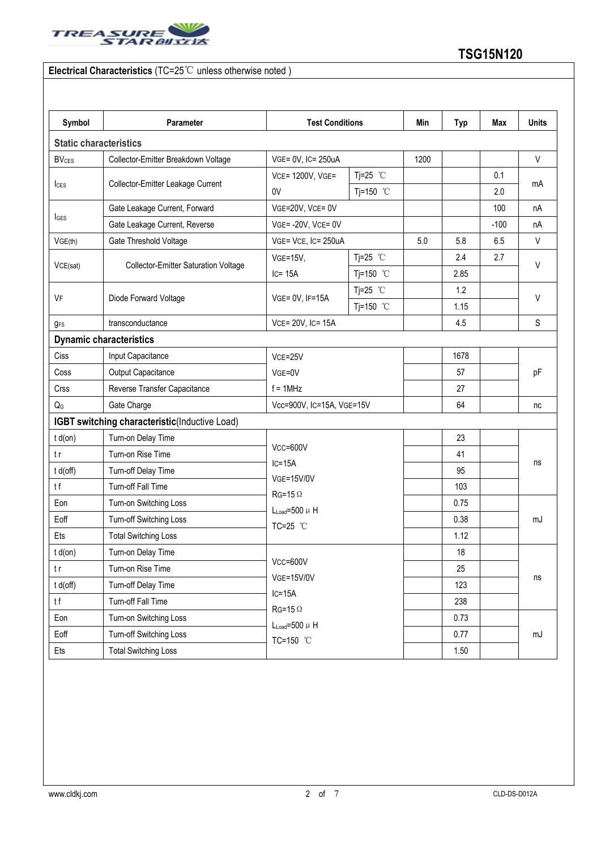

### **Electrical Characteristics** (TC=25℃ unless otherwise noted )

| Symbol                             | Parameter                                     | <b>Test Conditions</b>                                      | Min                | <b>Typ</b> | <b>Max</b> | <b>Units</b> |            |  |
|------------------------------------|-----------------------------------------------|-------------------------------------------------------------|--------------------|------------|------------|--------------|------------|--|
| <b>Static characteristics</b>      |                                               |                                                             |                    |            |            |              |            |  |
| <b>BV<sub>CES</sub></b>            | Collector-Emitter Breakdown Voltage           | VGE= 0V, IC= 250uA                                          |                    | 1200       |            |              | V          |  |
|                                    | Tj=25 $°C$<br>VCE= 1200V, VGE=                |                                                             |                    |            | 0.1        |              |            |  |
| lc <sub>ES</sub>                   | Collector-Emitter Leakage Current             | 0V                                                          | Tj=150 $°C$        |            |            | 2.0          | mA         |  |
| Gate Leakage Current, Forward      |                                               | VGE=20V, VCE= 0V                                            |                    |            |            | 100          | nA         |  |
| <b>I</b> GES                       | Gate Leakage Current, Reverse                 | $VGE = -20V$ , $VCE = 0V$                                   |                    |            |            | $-100$       | nA         |  |
| VGE(th)                            | Gate Threshold Voltage                        | VGE= VCE, IC= 250uA                                         |                    | 5.0        | 5.8        | 6.5          | V          |  |
| VCE(sat)                           |                                               | <b>VGE=15V,</b>                                             | Tj=25 $°C$         |            | 2.4        | 2.7          | V          |  |
|                                    | <b>Collector-Emitter Saturation Voltage</b>   | $IC = 15A$                                                  | Tj=150 °C          |            | 2.85       |              |            |  |
| Diode Forward Voltage<br><b>VF</b> |                                               |                                                             | Tj=25 $^{\circ}$ C |            | 1.2        |              |            |  |
|                                    | VGE= 0V, IF=15A                               | Tj=150 °C                                                   |                    | 1.15       |            | V            |            |  |
| $g_{FS}$                           | transconductance                              | VCE= 20V, IC= 15A                                           |                    |            | 4.5        |              | S          |  |
|                                    | <b>Dynamic characteristics</b>                |                                                             |                    |            |            |              |            |  |
| Ciss                               | Input Capacitance                             | VCE=25V                                                     |                    | 1678       |            |              |            |  |
| Coss                               | Output Capacitance                            | VGE=0V<br>$f = 1$ MHz                                       |                    |            | 57         |              | pF         |  |
| Crss                               | Reverse Transfer Capacitance                  |                                                             |                    |            | 27         |              |            |  |
|                                    | Gate Charge                                   | Vcc=900V, IC=15A, VGE=15V                                   |                    |            | 64         |              | nc         |  |
|                                    | IGBT switching characteristic(Inductive Load) |                                                             |                    |            |            |              |            |  |
| $t d($ on $)$                      | Turn-on Delay Time                            | Vcc=600V<br>$IC=15A$<br><b>VGE=15V/0V</b><br>$RG=15 \Omega$ |                    |            | 23         |              | ns         |  |
|                                    | Turn-on Rise Time                             |                                                             |                    |            | 41         |              |            |  |
| t d(off)                           | Turn-off Delay Time                           |                                                             |                    |            | 95         |              |            |  |
|                                    | Turn-off Fall Time                            |                                                             |                    |            | 103        |              |            |  |
| Eon                                | Turn-on Switching Loss                        | $L_{Load} = 500 \mu H$                                      |                    |            | 0.75       |              |            |  |
| Eoff                               | Turn-off Switching Loss                       | TC=25 °C                                                    |                    |            | 0.38       |              | mJ         |  |
|                                    | <b>Total Switching Loss</b>                   |                                                             |                    |            | 1.12       |              |            |  |
| $t d($ on $)$                      | Turn-on Delay Time                            |                                                             | $Vcc = 600V$       |            | $18$       |              |            |  |
|                                    | Turn-on Rise Time                             |                                                             |                    |            | 25         |              |            |  |
| t d(off)                           | Turn-off Delay Time                           | <b>VGE=15V/0V</b>                                           |                    |            | 123        |              | ns         |  |
|                                    | Turn-off Fall Time                            | $RG=15 \Omega$                                              | $IC=15A$           |            | 238        |              |            |  |
| Eon                                | Turn-on Switching Loss                        | $L_{Load} = 500 \mu H$                                      |                    |            | 0.73       |              |            |  |
| Eoff                               | Turn-off Switching Loss                       | TC=150 °C                                                   |                    |            | 0.77       |              | ${\sf mJ}$ |  |
| Ets                                | <b>Total Switching Loss</b>                   |                                                             |                    |            | 1.50       |              |            |  |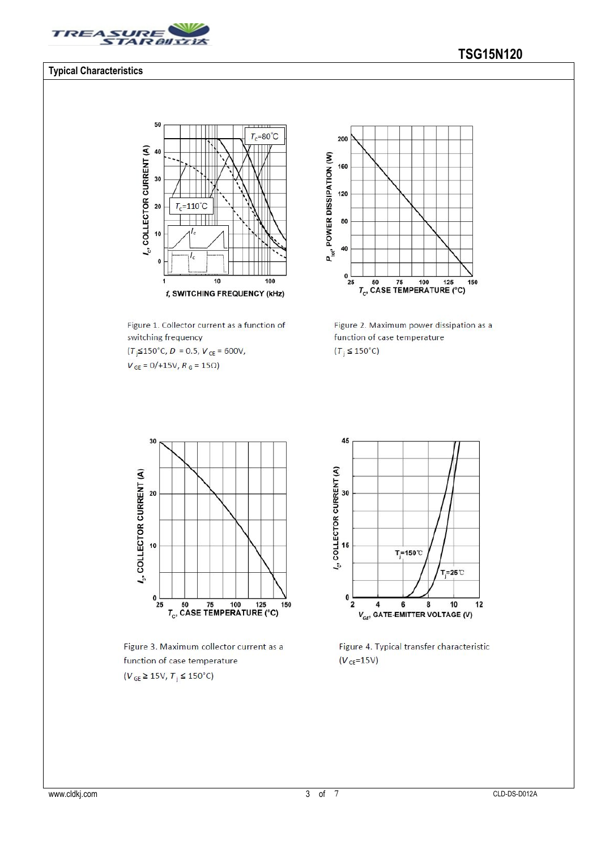

#### **Typical Characteristics**

#### 50  $\overline{\mathbf{u}}$  $T_c = 80^{\circ}C$  $l_c$ , COLLECTOR CURRENT (A) 40 30  $=110^{\circ}C$ 20 T, 10  $\mathbf{0}$  $\overline{10}$  $\frac{1}{100}$ 1 f, SWITCHING FREQUENCY (kHz)

Figure 1. Collector current as a function of switching frequency  $(T<sub>j</sub> \le 150^{\circ} \text{C}, D = 0.5, V<sub>CE</sub> = 600 \text{V},$ 

 $V_{GE} = 0/+15V, R_G = 15\Omega$ 



Figure 2. Maximum power dissipation as a function of case temperature  $(T_i \leq 150^{\circ}C)$ 



Figure 3. Maximum collector current as a function of case temperature  $(V_{GE} \ge 15V, T_j \le 150^{\circ}C)$ 



Figure 4. Typical transfer characteristic  $(V_{CE} = 15V)$ 

## **TSG15N120**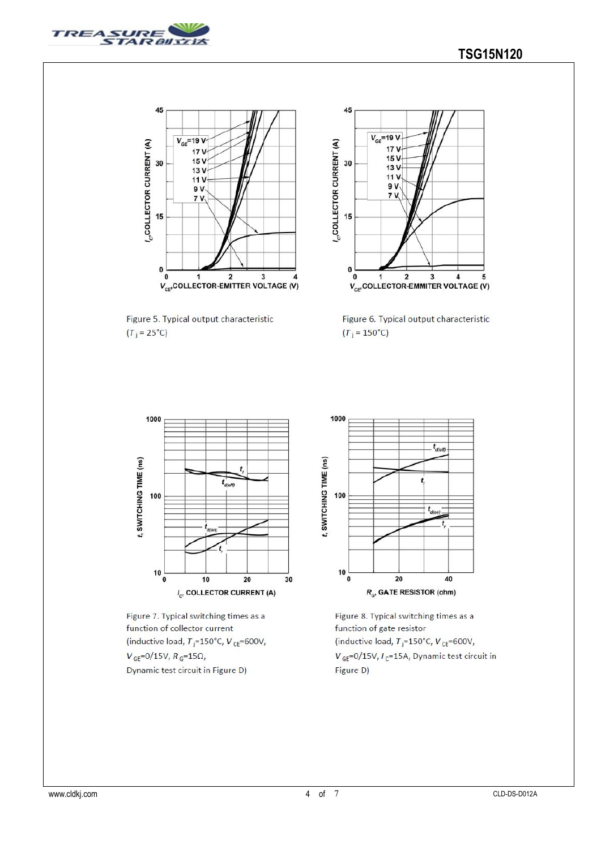



Figure 5. Typical output characteristic  $(T_j = 25^{\circ}C)$ 



Figure 6. Typical output characteristic  $(T_j = 150^{\circ}C)$ 



Figure 7. Typical switching times as a function of collector current (inductive load,  $T_j = 150^{\circ}$ C,  $V_{CE} = 600V$ ,  $V_{\rm GE}$ =0/15V,  $R_{\rm G}$ =15 $\Omega$ , Dynamic test circuit in Figure D)



Figure 8. Typical switching times as a function of gate resistor (inductive load,  $T_j = 150^{\circ}$ C,  $V_{CE} = 600V$ ,  $V_{\text{GE}}$ =0/15V,  $I_{\text{C}}$ =15A, Dynamic test circuit in Figure D)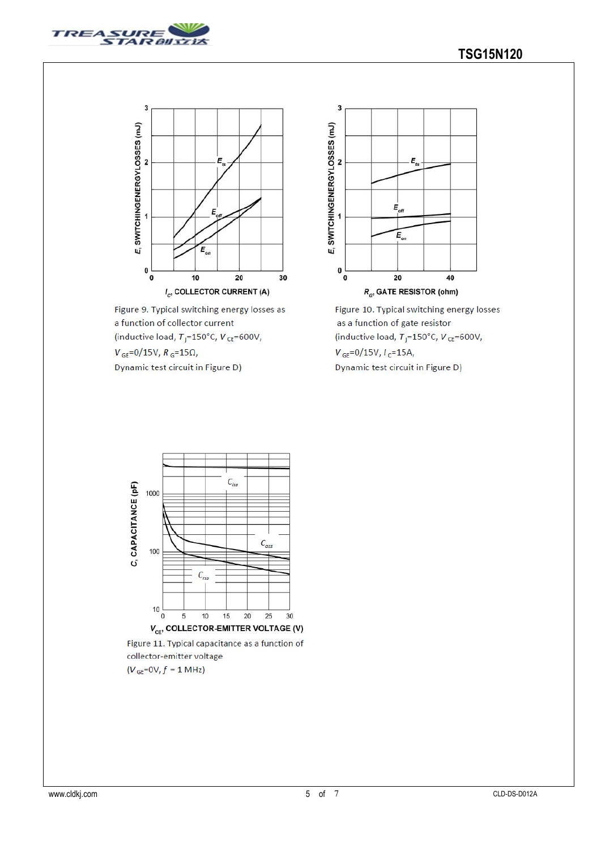



Figure 9. Typical switching energy losses as a function of collector current (inductive load,  $T_j = 150^{\circ}$ C,  $V_{CE} = 600V$ ,  $V_{GE} = 0/15V, R_G = 15\Omega,$ 

Dynamic test circuit in Figure D)



Figure 10. Typical switching energy losses as a function of gate resistor (inductive load,  $T_i = 150^{\circ}$ C,  $V_{CE} = 600V$ ,  $V_{GE} = 0/15V, I_C = 15A,$ Dynamic test circuit in Figure D)



Figure 11. Typical capacitance as a function of collector-emitter voltage  $(V_{GE}=0V, f = 1 MHz)$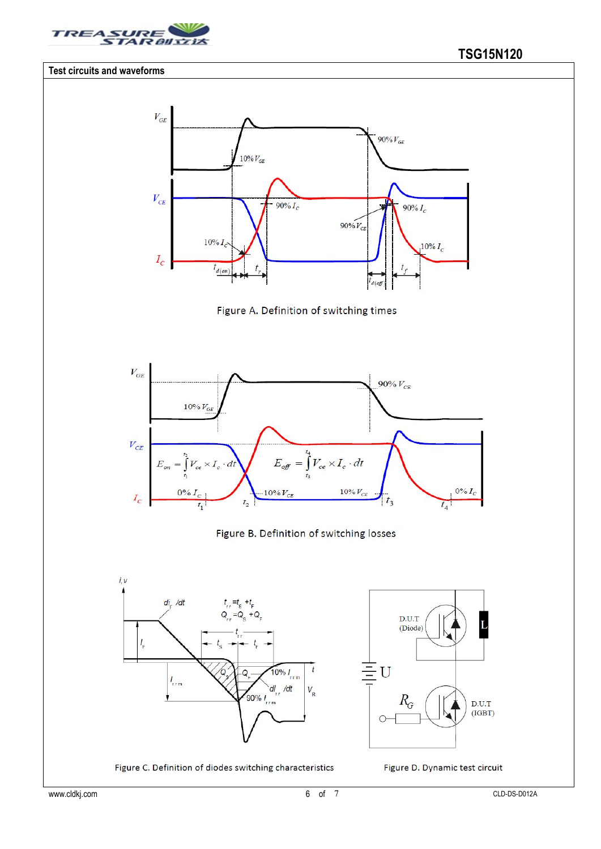

#### **Test circuits and waveforms**







#### Figure B. Definition of switching losses



Figure C. Definition of diodes switching characteristics



Figure D. Dynamic test circuit